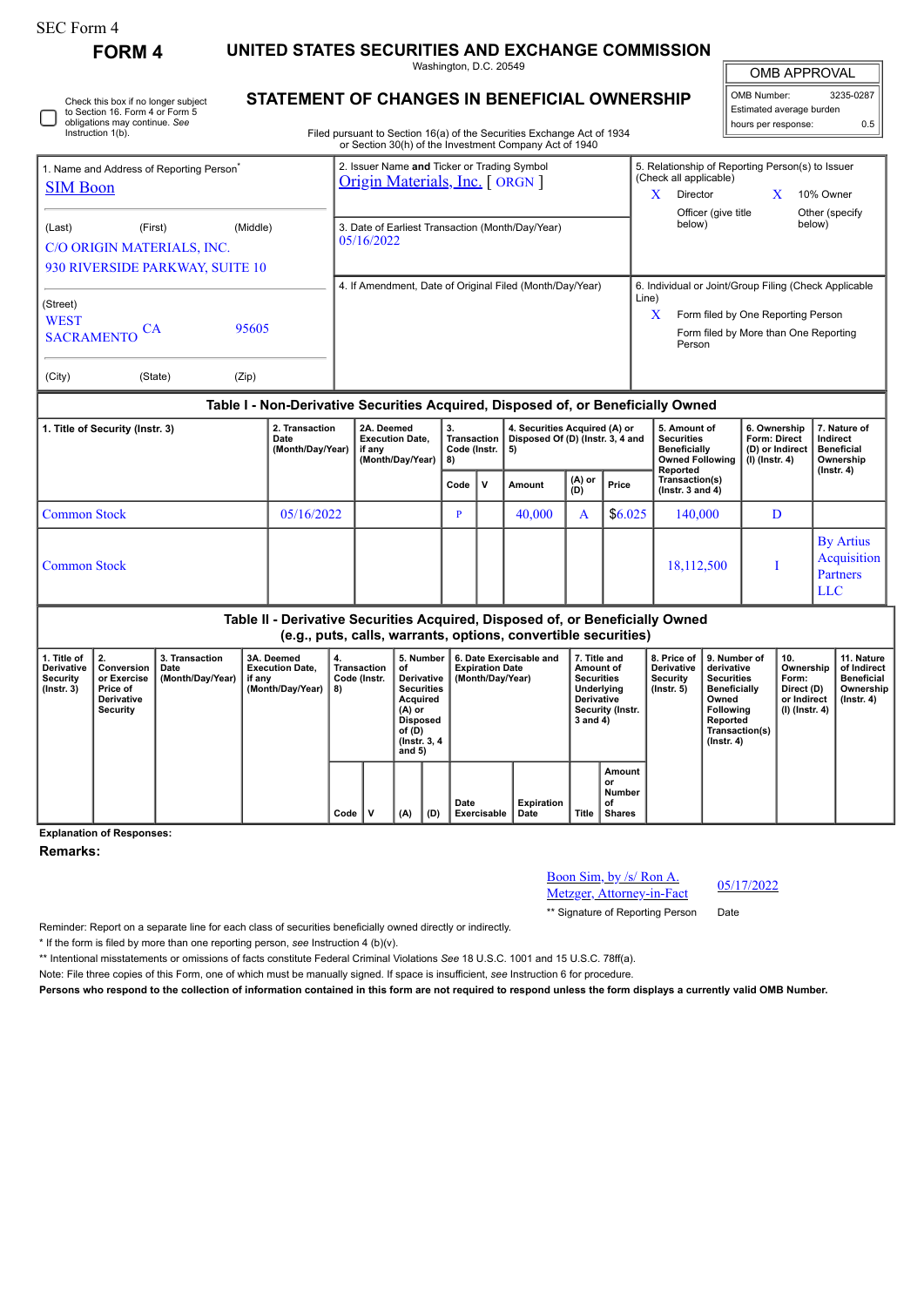**FORM 4 UNITED STATES SECURITIES AND EXCHANGE COMMISSION** Washington, D.C. 20549

OMB APPROVAL

 $\mathbb{F}$ 

| OMB Number:              | 3235-0287 |
|--------------------------|-----------|
| Estimated average burden |           |
| hours per response:      | ሰ 5       |

| ٮ | Check this box if no longer subject<br>to Section 16. Form 4 or Form 5<br>obligations may continue. See<br>Instruction 1(b). |
|---|------------------------------------------------------------------------------------------------------------------------------|
|---|------------------------------------------------------------------------------------------------------------------------------|

## **STATEMENT OF CHANGES IN BENEFICIAL OWNERSHIP**

Filed pursuant to Section 16(a) of the Securities Exchange Act of 1934 or Section 30(h) of the Investment Company Act of 1940

| 1. Name and Address of Reporting Person <sup>®</sup>                                           |                                                                                  |                |  | 2. Issuer Name and Ticker or Trading Symbol<br>Origin Materials, Inc. [ ORGN ] |      |                                                          | 5. Relationship of Reporting Person(s) to Issuer<br>(Check all applicable)            |                               |   |                            |  |  |  |
|------------------------------------------------------------------------------------------------|----------------------------------------------------------------------------------|----------------|--|--------------------------------------------------------------------------------|------|----------------------------------------------------------|---------------------------------------------------------------------------------------|-------------------------------|---|----------------------------|--|--|--|
| <b>SIM Boon</b>                                                                                |                                                                                  |                |  |                                                                                |      |                                                          | X                                                                                     | Director                      | X | 10% Owner                  |  |  |  |
| (Middle)<br>(Last)<br>(First)<br>C/O ORIGIN MATERIALS, INC.<br>930 RIVERSIDE PARKWAY, SUITE 10 |                                                                                  |                |  | 3. Date of Earliest Transaction (Month/Day/Year)<br>05/16/2022                 |      |                                                          |                                                                                       | Officer (give title<br>below) |   | Other (specify<br>below)   |  |  |  |
|                                                                                                |                                                                                  |                |  |                                                                                |      | 4. If Amendment, Date of Original Filed (Month/Day/Year) | 6. Individual or Joint/Group Filing (Check Applicable                                 |                               |   |                            |  |  |  |
| (Street)<br><b>WEST</b><br>95605<br>CА<br><b>SACRAMENTO</b>                                    |                                                                                  |                |  |                                                                                |      | Line)<br>X                                               | Form filed by One Reporting Person<br>Form filed by More than One Reporting<br>Person |                               |   |                            |  |  |  |
| (City)                                                                                         | (State)                                                                          | (Zip)          |  |                                                                                |      |                                                          |                                                                                       |                               |   |                            |  |  |  |
|                                                                                                | Table I - Non-Derivative Securities Acquired, Disposed of, or Beneficially Owned |                |  |                                                                                |      |                                                          |                                                                                       |                               |   |                            |  |  |  |
|                                                                                                | 1 Title of Security (Instr. 3)                                                   | 2. Transaction |  | 2A. Deemed                                                                     | l 3. | 4. Securities Acquired (A) or                            |                                                                                       | 5. Amount of                  |   | 6. Ownership 17. Nature of |  |  |  |

| 1. Title of Security (Instr. 3) | 2. Transaction<br>Date<br>(Month/Day/Year) | 2A. Deemed<br><b>Execution Date,</b><br>if any<br>(Month/Day/Year) | 3.<br>Transaction<br>Code (Instr. $  5$ )<br>8) |              | 4. Securities Acquired (A) or<br>Disposed Of (D) (Instr. 3, 4 and |               |         | 5. Amount of<br><b>Securities</b><br><b>Beneficially</b><br><b>Owned Following</b><br>Reported | 6. Ownership  <br><b>Form: Direct</b><br>(D) or Indirect<br>$(l)$ (lnstr. 4) | 7. Nature of<br>Indirect<br><b>Beneficial</b><br>Ownership<br>$($ lnstr. 4 $)$ |  |
|---------------------------------|--------------------------------------------|--------------------------------------------------------------------|-------------------------------------------------|--------------|-------------------------------------------------------------------|---------------|---------|------------------------------------------------------------------------------------------------|------------------------------------------------------------------------------|--------------------------------------------------------------------------------|--|
|                                 |                                            |                                                                    | Code                                            | $\mathsf{v}$ | Amount                                                            | (A) or<br>(D) | Price   | Transaction(s)<br>( $lnstr. 3 and 4$ )                                                         |                                                                              |                                                                                |  |
| l Common Stock                  | 05/16/2022                                 |                                                                    | D                                               |              | 40,000                                                            | A             | \$6.025 | 140,000                                                                                        |                                                                              |                                                                                |  |
| Common Stock                    |                                            |                                                                    |                                                 |              |                                                                   |               |         | 18,112,500                                                                                     |                                                                              | <b>By Artius</b><br>Acquisition<br><b>Partners</b><br>LLC                      |  |

## **Table II - Derivative Securities Acquired, Disposed of, or Beneficially Owned (e.g., puts, calls, warrants, options, convertible securities)**

| 1. Title of<br><b>Derivative</b><br><b>Security</b><br>$($ lnstr. 3 $)$ | Conversion<br>or Exercise<br>Price of<br><b>Derivative</b><br>Security | 3. Transaction<br>Date<br>(Month/Day/Year) | 3A. Deemed<br><b>Execution Date.</b><br>if any<br>(Month/Day/Year) | 4.<br>Transaction<br>Code (Instr.<br>8) |  | 5. Number!<br>οf<br>Derivative  <br><b>Securities</b><br>Acquired<br>(A) or<br><b>Disposed</b><br>of (D)<br>(Instr. 3, 4)<br>and $5)$ |     | <b>6. Date Exercisable and</b><br><b>Expiration Date</b><br>(Month/Day/Year) | 7. Title and<br>Amount of<br><b>Securities</b><br>Underlying<br><b>Derivative</b><br>Security (Instr.<br>3 and 4) |       | <b>Derivative</b><br>Security<br>$($ lnstr. 5 $)$ | 8. Price of 19. Number of<br>derivative<br><b>Securities</b><br><b>Beneficially</b><br>Owned<br>Following<br>Reported<br>Transaction(s)<br>$($ lnstr. 4 $)$ | 10.<br>Ownership<br>Form:<br>Direct (D)<br>or Indirect<br>  (I) (Instr. 4) | 11. Nature<br>of Indirect<br><b>Beneficial</b><br>Ownership  <br>$($ lnstr. 4 $)$ |  |
|-------------------------------------------------------------------------|------------------------------------------------------------------------|--------------------------------------------|--------------------------------------------------------------------|-----------------------------------------|--|---------------------------------------------------------------------------------------------------------------------------------------|-----|------------------------------------------------------------------------------|-------------------------------------------------------------------------------------------------------------------|-------|---------------------------------------------------|-------------------------------------------------------------------------------------------------------------------------------------------------------------|----------------------------------------------------------------------------|-----------------------------------------------------------------------------------|--|
|                                                                         |                                                                        |                                            |                                                                    | Code                                    |  | (A)                                                                                                                                   | (D) | Date<br>Exercisable                                                          | Expiration<br>Date                                                                                                | Title | Amount<br>or<br>Number<br>οf<br><b>Shares</b>     |                                                                                                                                                             |                                                                            |                                                                                   |  |

**Explanation of Responses:**

**Remarks:**

Boon Sim, by /s/ Ron A. <u>Boon Sim, by /s/ Ron A.</u><br>Metzger, Attorney-in-Fact 05/17/2022

\*\* Signature of Reporting Person Date

Reminder: Report on a separate line for each class of securities beneficially owned directly or indirectly.

\* If the form is filed by more than one reporting person, *see* Instruction 4 (b)(v).

\*\* Intentional misstatements or omissions of facts constitute Federal Criminal Violations *See* 18 U.S.C. 1001 and 15 U.S.C. 78ff(a).

Note: File three copies of this Form, one of which must be manually signed. If space is insufficient, *see* Instruction 6 for procedure.

**Persons who respond to the collection of information contained in this form are not required to respond unless the form displays a currently valid OMB Number.**